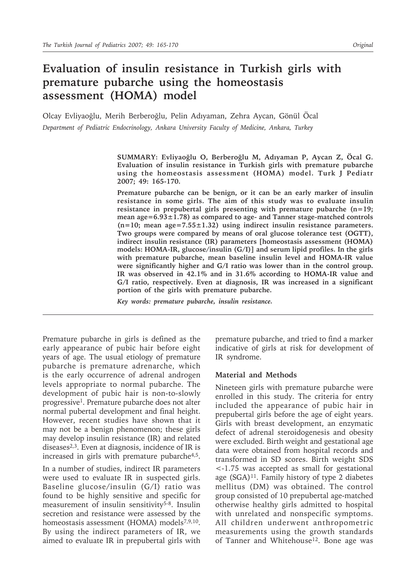# **Evaluation of insulin resistance in Turkish girls with premature pubarche using the homeostasis assessment (HOMA) model**

Olcay Evliyaoğlu, Merih Berberoğlu, Pelin Adıyaman, Zehra Aycan, Gönül Öcal *Department of Pediatric Endocrinology, Ankara University Faculty of Medicine, Ankara, Turkey*

> **SUMMARY: Evliyaoğlu O, Berberoğlu M, Adıyaman P, Aycan Z, Öcal G. Evaluation of insulin resistance in Turkish girls with premature pubarche using the homeostasis assessment (HOMA) model. Turk J Pediatr 2007; 49: 165-170.**

> **Premature pubarche can be benign, or it can be an early marker of insulin resistance in some girls. The aim of this study was to evaluate insulin resistance in prepubertal girls presenting with premature pubarche (n=19; mean age=6.93±1.78) as compared to age- and Tanner stage-matched controls (n=10; mean age=7.55±1.32) using indirect insulin resistance parameters. Two groups were compared by means of oral glucose tolerance test (OGTT), indirect insulin resistance (IR) parameters [homeostasis assessment (HOMA) models: HOMA-IR, glucose/insulin (G/I)] and serum lipid profiles. In the girls with premature pubarche, mean baseline insulin level and HOMA-IR value were significantly higher and G/I ratio was lower than in the control group. IR was observed in 42.1% and in 31.6% according to HOMA-IR value and G/I ratio, respectively. Even at diagnosis, IR was increased in a significant portion of the girls with premature pubarche.**

*Key words: premature pubarche, insulin resistance.*

Premature pubarche in girls is defined as the early appearance of pubic hair before eight years of age. The usual etiology of premature pubarche is premature adrenarche, which is the early occurrence of adrenal androgen levels appropriate to normal pubarche. The development of pubic hair is non-to-slowly progressive1. Premature pubarche does not alter normal pubertal development and final height. However, recent studies have shown that it may not be a benign phenomenon; these girls may develop insulin resistance (IR) and related diseases $2,3$ . Even at diagnosis, incidence of IR is increased in girls with premature pubarche<sup>4,5</sup>. In a number of studies, indirect IR parameters were used to evaluate IR in suspected girls. Baseline glucose/insulin (G/I) ratio was found to be highly sensitive and specific for measurement of insulin sensitivity<sup>5-8</sup>. Insulin secretion and resistance were assessed by the homeostasis assessment (HOMA) models<sup>7,9,10</sup>.

By using the indirect parameters of IR, we aimed to evaluate IR in prepubertal girls with

premature pubarche, and tried to find a marker indicative of girls at risk for development of IR syndrome.

#### **Material and Methods**

Nineteen girls with premature pubarche were enrolled in this study. The criteria for entry included the appearance of pubic hair in prepubertal girls before the age of eight years. Girls with breast development, an enzymatic defect of adrenal steroidogenesis and obesity were excluded. Birth weight and gestational age data were obtained from hospital records and transformed in SD scores. Birth weight SDS <-1.75 was accepted as small for gestational age (SGA)<sup>11</sup>. Family history of type 2 diabetes mellitus (DM) was obtained. The control group consisted of 10 prepubertal age-matched otherwise healthy girls admitted to hospital with unrelated and nonspecific symptoms. All children underwent anthropometric measurements using the growth standards of Tanner and Whitehouse<sup>12</sup>. Bone age was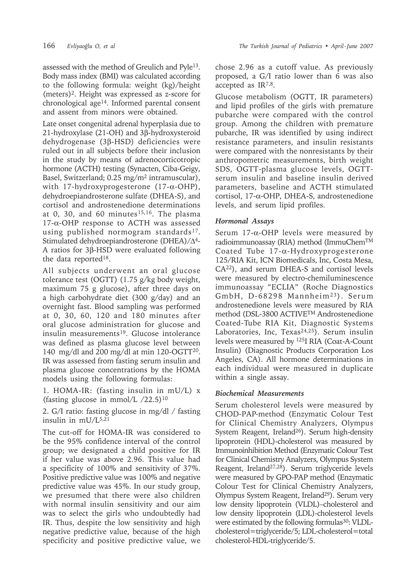assessed with the method of Greulich and Pyle13. Body mass index (BMI) was calculated according to the following formula: weight (kg)/height (meters)2. Height was expressed as z-score for chronological age14. Informed parental consent and assent from minors were obtained.

Late onset congenital adrenal hyperplasia due to 21-hydroxylase (21-OH) and 3β-hydroxysteroid dehydrogenase (3β-HSD) deficiencies were ruled out in all subjects before their inclusion in the study by means of adrenocorticotropic hormone (ACTH) testing (Synacten, Ciba-Geigy, Basel, Switzerland; 0.25 mg/m2 intramuscular), with 17-hydroxyprogesterone (17-α-OHP), dehydroepiandrosterone sulfate (DHEA-S), and cortisol and androstenedione determinations at 0, 30, and 60 minutes $15,16$ . The plasma 17-α-OHP response to ACTH was assessed using published normogram standards<sup>17</sup>. Stimulated dehydroepiandrosterone (DHEA)/∆4- A ratios for 3β-HSD were evaluated following the data reported18.

All subjects underwent an oral glucose tolerance test (OGTT) (1.75 g/kg body weight, maximum 75 g glucose), after three days on a high carbohydrate diet (300 g/day) and an overnight fast. Blood sampling was performed at 0, 30, 60, 120 and 180 minutes after oral glucose administration for glucose and insulin measurements<sup>19</sup>. Glucose intolerance was defined as plasma glucose level between 140 mg/dl and 200 mg/dl at min 120-OGTT20. IR was assessed from fasting serum insulin and plasma glucose concentrations by the HOMA models using the following formulas:

1. HOMA-IR: (fasting insulin in mU/L) x (fasting glucose in mmol/L  $/22.5$ )<sup>10</sup>

2. G/I ratio: fasting glucose in mg/dl / fasting insulin in mU/L5,21

The cut-off for HOMA-IR was considered to be the 95% confidence interval of the control group; we designated a child positive for IR if her value was above 2.96. This value had a specificity of 100% and sensitivity of 37%. Positive predictive value was 100% and negative predictive value was 45%. In our study group, we presumed that there were also children with normal insulin sensitivity and our aim was to select the girls who undoubtedly had IR. Thus, despite the low sensitivity and high negative predictive value, because of the high specificity and positive predictive value, we

chose 2.96 as a cutoff value. As previously proposed, a G/I ratio lower than 6 was also accepted as IR7,8.

Glucose metabolism (OGTT, IR parameters) and lipid profiles of the girls with premature pubarche were compared with the control group. Among the children with premature pubarche, IR was identified by using indirect resistance parameters, and insulin resistants were compared with the nonresistants by their anthropometric measurements, birth weight SDS, OGTT-plasma glucose levels, OGTTserum insulin and baseline insulin derived parameters, baseline and ACTH stimulated cortisol, 17-α-OHP, DHEA-S, androstenedione levels, and serum lipid profiles.

# *Hormonal Assays*

Serum 17-α-OHP levels were measured by radioimmunoassay (RIA) method (ImmuChemTM Coated Tube 17-α-Hydroxyprogesterone 125/RIA Kit, ICN Biomedicals, Inc, Costa Mesa, CA22), and serum DHEA-S and cortisol levels were measured by electro-chemiluminescence immunoassay "ECLIA" (Roche Diagnostics GmbH, D-68298 Mannheim<sup>23</sup>). Serum androstenedione levels were measured by RIA method (DSL-3800 ACTIVETM Androstenedione Coated-Tube RIA Kit, Diagnostic Systems Laboratories, Inc, Texas<sup>24,25</sup>). Serum insulin levels were measured by 125I RIA (Coat-A-Count Insulin) (Diagnostic Products Corporation Los Angeles, CA). All hormone determinations in each individual were measured in duplicate within a single assay.

# *Biochemical Measurements*

Serum cholesterol levels were measured by CHOD-PAP-method (Enzymatic Colour Test for Clinical Chemistry Analyzers, Olympus System Reagent, Ireland<sup>26</sup>). Serum high-density lipoprotein (HDL)-cholesterol was measured by Immunoinhibition Method (Enzymatic Colour Test for Clinical Chemistry Analyzers, Olympus System Reagent, Ireland27,28). Serum triglyceride levels were measured by GPO-PAP method (Enzymatic Colour Test for Clinical Chemistry Analyzers, Olympus System Reagent, Ireland<sup>29</sup>). Serum very low density lipoprotein (VLDL)–cholesterol and low density lipoprotein (LDL)-cholesterol levels were estimated by the following formulas<sup>30</sup>: VLDLcholesterol=triglyceride/5; LDL-cholesterol=total cholesterol-HDL-triglyceride/5.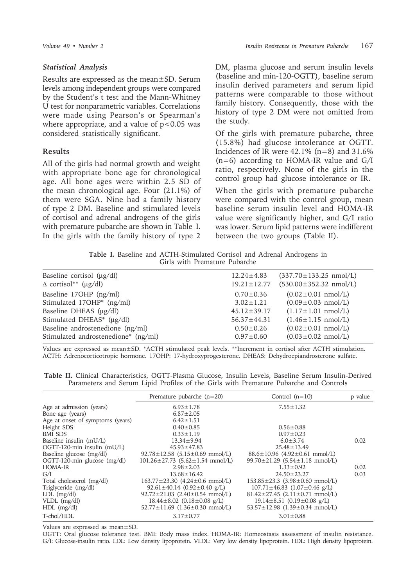#### *Statistical Analysis*

Results are expressed as the mean±SD. Serum levels among independent groups were compared by the Student's t test and the Mann-Whitney U test for nonparametric variables. Correlations were made using Pearson's or Spearman's where appropriate, and a value of  $p<0.05$  was considered statistically significant.

## **Results**

All of the girls had normal growth and weight with appropriate bone age for chronological age. All bone ages were within 2.5 SD of the mean chronological age. Four (21.1%) of them were SGA. Nine had a family history of type 2 DM. Baseline and stimulated levels of cortisol and adrenal androgens of the girls with premature pubarche are shown in Table I. In the girls with the family history of type 2

DM, plasma glucose and serum insulin levels (baseline and min-120-OGTT), baseline serum insulin derived parameters and serum lipid patterns were comparable to those without family history. Consequently, those with the history of type 2 DM were not omitted from the study.

Of the girls with premature pubarche, three (15.8%) had glucose intolerance at OGTT. Incidences of IR were  $42.1\%$  (n=8) and  $31.6\%$  $(n=6)$  according to HOMA-IR value and  $G/I$ ratio, respectively. None of the girls in the control group had glucose intolerance or IR.

When the girls with premature pubarche were compared with the control group, mean baseline serum insulin level and HOMA-IR value were significantly higher, and G/I ratio was lower. Serum lipid patterns were indifferent between the two groups (Table II).

**Table I.** Baseline and ACTH-Stimulated Cortisol and Adrenal Androgens in Girls with Premature Pubarche

| Baseline cortisol $(\mu g/dl)$          | $12.24 \pm 4.83$  | $(337.70 \pm 133.25 \text{ nmol/L})$ |
|-----------------------------------------|-------------------|--------------------------------------|
| $\Delta$ cortisol <sup>**</sup> (µg/dl) | $19.21 \pm 12.77$ | $(530.00 \pm 352.32 \text{ nmol/L})$ |
| Baseline 17OHP (ng/ml)                  | $0.70 \pm 0.36$   | $(0.02 \pm 0.01 \text{ nmol/L})$     |
| Stimulated 17OHP <sup>*</sup> (ng/ml)   | $3.02 \pm 1.21$   | $(0.09 \pm 0.03 \text{ nmol/L})$     |
| Baseline DHEAS (µg/dl)                  | $45.12 \pm 39.17$ | $(1.17 \pm 1.01 \text{ nmol/L})$     |
| Stimulated DHEAS* (µg/dl)               | $56.37 \pm 44.31$ | $(1.46 \pm 1.15 \text{ nmol/L})$     |
| Baseline androstenedione (ng/ml)        | $0.50 \pm 0.26$   | $(0.02 \pm 0.01 \text{ nmol/L})$     |
| Stimulated androstenedione* (ng/ml)     | $0.97 \pm 0.60$   | $(0.03 \pm 0.02 \text{ nmol/L})$     |
|                                         |                   |                                      |

Values are expressed as mean±SD. \*ACTH stimulated peak levels. \*\*Increment in cortisol after ACTH stimulation. ACTH: Adrenocorticotropic hormone. 17OHP: 17-hydroxyprogesterone. DHEAS: Dehydroepiandrosterone sulfate.

|  |  |  |  |  |  |  | Table II. Clinical Characteristics, OGTT-Plasma Glucose, Insulin Levels, Baseline Serum Insulin-Derived |  |
|--|--|--|--|--|--|--|---------------------------------------------------------------------------------------------------------|--|
|  |  |  |  |  |  |  | Parameters and Serum Lipid Profiles of the Girls with Premature Pubarche and Controls                   |  |

|                                  | Premature pubarche $(n=20)$                         | Control $(n=10)$                           | p value |
|----------------------------------|-----------------------------------------------------|--------------------------------------------|---------|
| Age at admission (years)         | $6.93 \pm 1.78$                                     | $7.55 \pm 1.32$                            |         |
| Bone age (years)                 | $6.87 \pm 2.05$                                     |                                            |         |
| Age at onset of symptoms (years) | $6.42 \pm 1.51$                                     |                                            |         |
| Height SDS                       | $0.40 \pm 0.85$                                     | $0.56 \pm 0.88$                            |         |
| <b>BMI SDS</b>                   | $0.33 \pm 1.19$                                     | $0.97 \pm 0.23$                            |         |
| Baseline insulin (mU/L)          | $13.34 \pm 9.94$                                    | $6.0 \pm 3.74$                             | 0.02    |
| OGTT-120-min insulin (mU/L)      | $45.93 \pm 47.83$                                   | $25.48 \pm 13.49$                          |         |
| Baseline glucose (mg/dl)         | $92.78 \pm 12.58$ (5.15 $\pm$ 0.69 mmol/L)          | $88.6 \pm 10.96$ (4.92 $\pm$ 0.61 mmol/L)  |         |
| OGTT-120-min glucose (mg/dl)     | $101.26 \pm 27.73$ $(5.62 \pm 1.54 \text{ mmol/L})$ | $99.70 \pm 21.29$ (5.54 $\pm$ 1.18 mmol/L) |         |
| HOMA-IR                          | $2.98 \pm 2.03$                                     | $1.33 \pm 0.92$                            | 0.02    |
| G/I                              | $13.68 \pm 16.42$                                   | $24.50 \pm 23.27$                          | 0.03    |
| Total cholesterol (mg/dl)        | $163.77 \pm 23.30$ $(4.24 \pm 0.6$ mmol/L)          | $153.85 \pm 23.3$ $(3.98 \pm 0.60$ mmol/L) |         |
| Triglyceride (mg/dl)             | $92.61 \pm 40.14$ (0.92 $\pm$ 0.40 g/L)             | $107.71 \pm 46.83$ $(1.07 \pm 0.46$ g/L)   |         |
| $LDL$ (mg/dl)                    | $92.72 \pm 21.03$ $(2.40 \pm 0.54$ mmol/L)          | $81.42 \pm 27.45$ (2.11 $\pm$ 0.71 mmol/L) |         |
| $VLDL$ (mg/dl)                   | $18.44 \pm 8.02$ (0.18 $\pm$ 0.08 g/L)              | $19.14 \pm 8.51$ (0.19 $\pm$ 0.08 g/L)     |         |
| $HDL$ (mg/dl)                    | $52.77 \pm 11.69$ $(1.36 \pm 0.30$ mmol/L)          | $53.57 \pm 12.98$ $(1.39 \pm 0.34$ mmol/L) |         |
| T-chol/HDL                       | $3.17 \pm 0.77$                                     | $3.01 \pm 0.88$                            |         |

Values are expressed as mean±SD.

OGTT: Oral glucose tolerance test. BMI: Body mass index. HOMA-IR: Homeostasis assessment of insulin resistance. G/I: Glucose-insulin ratio. LDL: Low density lipoprotein. VLDL: Very low density lipoprotein. HDL: High density lipoprotein.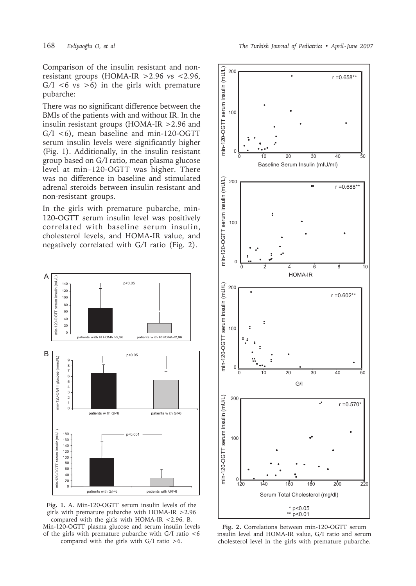Comparison of the insulin resistant and nonresistant groups (HOMA-IR  $>2.96$  vs  $<2.96$ ,  $G/I \le 6$  vs  $>6$ ) in the girls with premature pubarche:

There was no significant difference between the BMIs of the patients with and without IR. In the insulin resistant groups (HOMA-IR > 2.96 and  $G/I$  <6), mean baseline and min-120-OGTT serum insulin levels were significantly higher (Fig. 1). Additionally, in the insulin resistant group based on G/I ratio, mean plasma glucose level at min-120-OGTT was higher. There was no difference in baseline and stimulated adrenal steroids between insulin resistant and non-resistant groups.

In the girls with premature pubarche, min-120-OGTT serum insulin level was positively correlated with baseline serum insulin, cholesterol levels, and HOMA-IR value, and negatively correlated with G/I ratio (Fig. 2).



Fig. 1. A. Min-120-OGTT serum insulin levels of the girls with premature pubarche with HOMA-IR > 2.96 compared with the girls with HOMA-IR <2.96. B. Min-120-OGTT plasma glucose and serum insulin levels of the girls with premature pubarche with G/I ratio <6 compared with the girls with  $G/I$  ratio >6.



Fig. 2. Correlations between min-120-OGTT serum insulin level and HOMA-IR value, G/I ratio and serum cholesterol level in the girls with premature pubarche.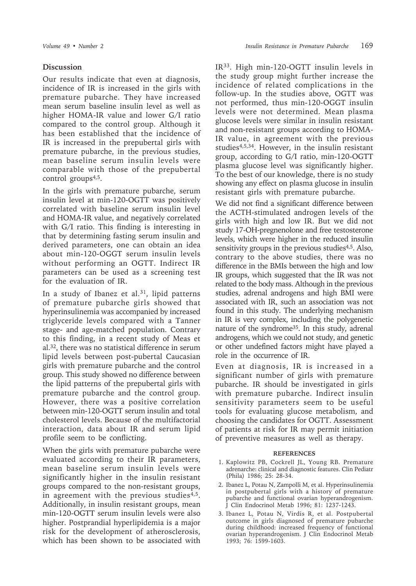### **Discussion**

Our results indicate that even at diagnosis, incidence of IR is increased in the girls with premature pubarche. They have increased mean serum baseline insulin level as well as higher HOMA-IR value and lower G/I ratio compared to the control group. Although it has been established that the incidence of IR is increased in the prepubertal girls with premature pubarche, in the previous studies, mean baseline serum insulin levels were comparable with those of the prepubertal control groups<sup>4,5</sup>.

In the girls with premature pubarche, serum insulin level at min-120-OGTT was positively correlated with baseline serum insulin level and HOMA-IR value, and negatively correlated with G/I ratio. This finding is interesting in that by determining fasting serum insulin and derived parameters, one can obtain an idea about min-120-OGGT serum insulin levels without performing an OGTT. Indirect IR parameters can be used as a screening test for the evaluation of IR.

In a study of Ibanez et al. $31$ , lipid patterns of premature pubarche girls showed that hyperinsulinemia was accompanied by increased triglyceride levels compared with a Tanner stage- and age-matched population. Contrary to this finding, in a recent study of Meas et al.32, there was no statistical difference in serum lipid levels between post-pubertal Caucasian girls with premature pubarche and the control group. This study showed no difference between the lipid patterns of the prepubertal girls with premature pubarche and the control group. However, there was a positive correlation between min-120-OGTT serum insulin and total cholesterol levels. Because of the multifactorial interaction, data about IR and serum lipid profile seem to be conflicting.

When the girls with premature pubarche were evaluated according to their IR parameters, mean baseline serum insulin levels were significantly higher in the insulin resistant groups compared to the non-resistant groups, in agreement with the previous studies<sup>4,5</sup>. Additionally, in insulin resistant groups, mean min-120-OGTT serum insulin levels were also higher. Postprandial hyperlipidemia is a major risk for the development of atherosclerosis, which has been shown to be associated with

IR33. High min-120-OGTT insulin levels in the study group might further increase the incidence of related complications in the follow-up. In the studies above, OGTT was not performed, thus min-120-OGGT insulin levels were not determined. Mean plasma glucose levels were similar in insulin resistant and non-resistant groups according to HOMA-IR value, in agreement with the previous studies4,5,34. However, in the insulin resistant group, according to G/I ratio, min-120-OGTT plasma glucose level was significantly higher. To the best of our knowledge, there is no study showing any effect on plasma glucose in insulin resistant girls with premature pubarche.

We did not find a significant difference between the ACTH-stimulated androgen levels of the girls with high and low IR. But we did not study 17-OH-pregnenolone and free testosterone levels, which were higher in the reduced insulin sensitivity groups in the previous studies<sup>4,5</sup>. Also, contrary to the above studies, there was no difference in the BMIs between the high and low IR groups, which suggested that the IR was not related to the body mass. Although in the previous studies, adrenal androgens and high BMI were associated with IR, such an association was not found in this study. The underlying mechanism in IR is very complex, including the polygenetic nature of the syndrome35. In this study, adrenal androgens, which we could not study, and genetic or other undefined factors might have played a role in the occurrence of IR.

Even at diagnosis, IR is increased in a significant number of girls with premature pubarche. IR should be investigated in girls with premature pubarche. Indirect insulin sensitivity parameters seem to be useful tools for evaluating glucose metabolism, and choosing the candidates for OGTT. Assessment of patients at risk for IR may permit initiation of preventive measures as well as therapy.

#### **REFERENCES**

- 1. Kaplowitz PB, Cockrell JL, Young RB. Premature adrenarche: clinical and diagnostic features. Clin Pediatr (Phila) 1986; 25: 28-34.
- 2. Ibanez L, Potau N, Zampolli M, et al. Hyperinsulinemia in postpubertal girls with a history of premature pubarche and functional ovarian hyperandrogenism. J Clin Endocrinol Metab 1996; 81: 1237-1243.
- 3. Ibanez L, Potau N, Virdis R, et al. Postpubertal outcome in girls diagnosed of premature pubarche during childhood: increased frequency of functional ovarian hyperandrogenism. J Clin Endocrinol Metab 1993; 76: 1599-1603.